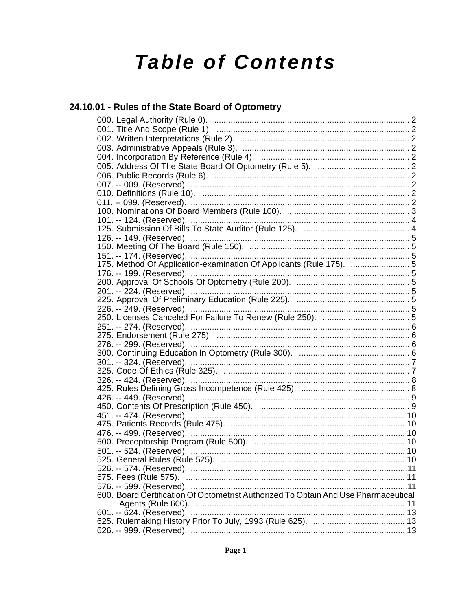# **Table of Contents**

## 24.10.01 - Rules of the State Board of Optometry

| 600. Board Certification Of Optometrist Authorized To Obtain And Use Pharmaceutical |  |
|-------------------------------------------------------------------------------------|--|
|                                                                                     |  |
|                                                                                     |  |
|                                                                                     |  |
|                                                                                     |  |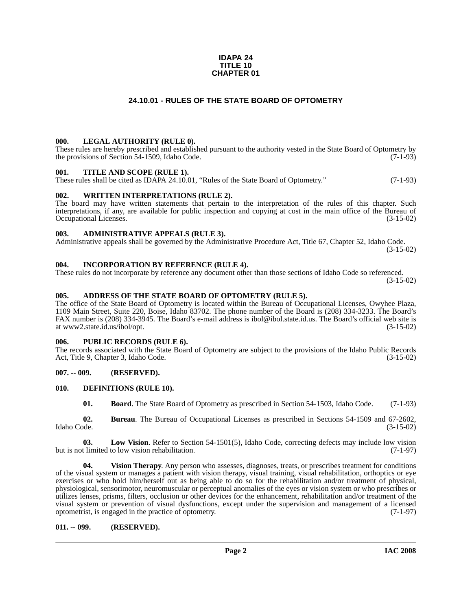#### **IDAPA 24 TITLE 10 CHAPTER 01**

#### **24.10.01 - RULES OF THE STATE BOARD OF OPTOMETRY**

#### <span id="page-1-1"></span><span id="page-1-0"></span>**000. LEGAL AUTHORITY (RULE 0).**

These rules are hereby prescribed and established pursuant to the authority vested in the State Board of Optometry by the provisions of Section 54-1509, Idaho Code.  $(7-1-93)$ 

#### <span id="page-1-2"></span>**001. TITLE AND SCOPE (RULE 1).**

These rules shall be cited as IDAPA 24.10.01, "Rules of the State Board of Optometry." (7-1-93)

#### <span id="page-1-3"></span>**002. WRITTEN INTERPRETATIONS (RULE 2).**

The board may have written statements that pertain to the interpretation of the rules of this chapter. Such interpretations, if any, are available for public inspection and copying at cost in the main office of the Bureau of Occupational Licenses. (3-15-02)

#### <span id="page-1-4"></span>**003. ADMINISTRATIVE APPEALS (RULE 3).**

Administrative appeals shall be governed by the Administrative Procedure Act, Title 67, Chapter 52, Idaho Code. (3-15-02)

#### <span id="page-1-5"></span>**004. INCORPORATION BY REFERENCE (RULE 4).**

These rules do not incorporate by reference any document other than those sections of Idaho Code so referenced. (3-15-02)

#### <span id="page-1-6"></span>**005. ADDRESS OF THE STATE BOARD OF OPTOMETRY (RULE 5).**

[The office of the State Board of Optometry is located within the Bureau of Occupational Licenses, Owyhee Plaza,](http://ibol.idaho.gov/opt.htm)  1109 Main Street, Suite 220, Boise, Idaho 83702. The phone number of the Board is (208) 334-3233. The Board's FAX number is (208) 334-3945. The Board's e-mail address is ibol@ibol.state.id.us. The Board's official web site is at www2.state.id.us/ibol/opt.

#### <span id="page-1-7"></span>**006. PUBLIC RECORDS (RULE 6).**

The records associated with the State Board of Optometry are subject to the provisions of the Idaho Public Records Act, Title 9, Chapter 3, Idaho Code. (3-15-02)

#### <span id="page-1-8"></span>**007. -- 009. (RESERVED).**

#### <span id="page-1-9"></span>**010. DEFINITIONS (RULE 10).**

<span id="page-1-13"></span><span id="page-1-12"></span><span id="page-1-11"></span>**01. Board**. The State Board of Optometry as prescribed in Section 54-1503, Idaho Code. (7-1-93)

**02. Bureau**. The Bureau of Occupational Licenses as prescribed in Sections 54-1509 and 67-2602, Idaho Code. (3-15-02)

**03. Low Vision**. Refer to Section 54-1501(5), Idaho Code, correcting defects may include low vision but is not limited to low vision rehabilitation. (7-1-97)

<span id="page-1-14"></span>**04. Vision Therapy**. Any person who assesses, diagnoses, treats, or prescribes treatment for conditions of the visual system or manages a patient with vision therapy, visual training, visual rehabilitation, orthoptics or eye exercises or who hold him/herself out as being able to do so for the rehabilitation and/or treatment of physical, physiological, sensorimotor, neuromuscular or perceptual anomalies of the eyes or vision system or who prescribes or utilizes lenses, prisms, filters, occlusion or other devices for the enhancement, rehabilitation and/or treatment of the visual system or prevention of visual dysfunctions, except under the supervision and management of a licensed optometrist, is engaged in the practice of optometry. (7-1-97) optometrist, is engaged in the practice of optometry.

#### <span id="page-1-10"></span>**011. -- 099. (RESERVED).**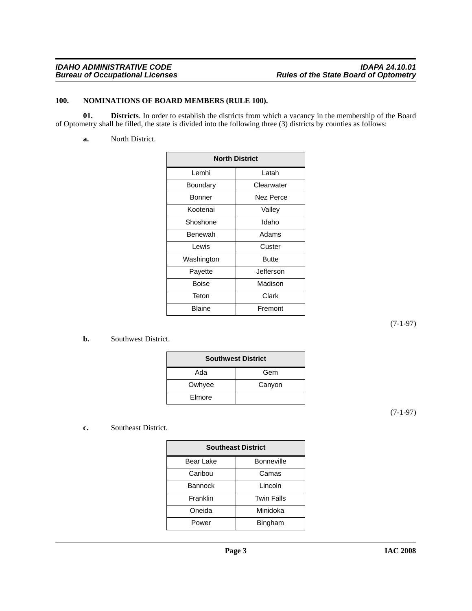#### <span id="page-2-2"></span><span id="page-2-0"></span>**100. NOMINATIONS OF BOARD MEMBERS (RULE 100).**

**01. Districts**. In order to establish the districts from which a vacancy in the membership of the Board of Optometry shall be filled, the state is divided into the following three (3) districts by counties as follows:

<span id="page-2-1"></span>**a.** North District.

| <b>North District</b> |            |  |
|-----------------------|------------|--|
| Lemhi                 | Latah      |  |
| Boundary              | Clearwater |  |
| Bonner                | Nez Perce  |  |
| Kootenai              | Valley     |  |
| Shoshone              | Idaho      |  |
| Benewah               | Adams      |  |
| Lewis                 | Custer     |  |
| Washington            | Butte      |  |
| Payette               | Jefferson  |  |
| Boise                 | Madison    |  |
| Teton                 | Clark      |  |
| Blaine                | Fremont    |  |

(7-1-97)

#### **b.** Southwest District.

| <b>Southwest District</b> |        |  |
|---------------------------|--------|--|
| Ada                       | Gem    |  |
| Owhyee                    | Canyon |  |
| Elmore                    |        |  |

(7-1-97)

#### **c.** Southeast District.

| <b>Southeast District</b> |                   |  |
|---------------------------|-------------------|--|
| Bear Lake                 | <b>Bonneville</b> |  |
| Caribou                   | Camas             |  |
| <b>Bannock</b>            | Lincoln           |  |
| Franklin                  | <b>Twin Falls</b> |  |
| Oneida                    | Minidoka          |  |
| Power                     | Bingham           |  |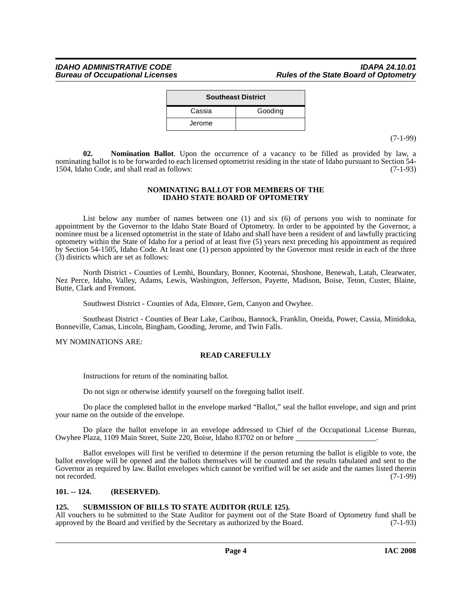| <b>Southeast District</b> |  |  |  |
|---------------------------|--|--|--|
| Gooding                   |  |  |  |
|                           |  |  |  |
|                           |  |  |  |

(7-1-99)

<span id="page-3-2"></span>**02. Nomination Ballot**. Upon the occurrence of a vacancy to be filled as provided by law, a nominating ballot is to be forwarded to each licensed optometrist residing in the state of Idaho pursuant to Section 54-<br>1504. Idaho Code, and shall read as follows: (7-1-93) 1504, Idaho Code, and shall read as follows:

#### **NOMINATING BALLOT FOR MEMBERS OF THE IDAHO STATE BOARD OF OPTOMETRY**

List below any number of names between one (1) and six (6) of persons you wish to nominate for appointment by the Governor to the Idaho State Board of Optometry. In order to be appointed by the Governor, a nominee must be a licensed optometrist in the state of Idaho and shall have been a resident of and lawfully practicing optometry within the State of Idaho for a period of at least five (5) years next preceding his appointment as required by Section 54-1505, Idaho Code. At least one (1) person appointed by the Governor must reside in each of the three (3) districts which are set as follows:

North District - Counties of Lemhi, Boundary, Bonner, Kootenai, Shoshone, Benewah, Latah, Clearwater, Nez Perce, Idaho, Valley, Adams, Lewis, Washington, Jefferson, Payette, Madison, Boise, Teton, Custer, Blaine, Butte, Clark and Fremont.

Southwest District - Counties of Ada, Elmore, Gem, Canyon and Owyhee.

Southeast District - Counties of Bear Lake, Caribou, Bannock, Franklin, Oneida, Power, Cassia, Minidoka, Bonneville, Camas, Lincoln, Bingham, Gooding, Jerome, and Twin Falls.

MY NOMINATIONS ARE:

#### **READ CAREFULLY**

Instructions for return of the nominating ballot.

Do not sign or otherwise identify yourself on the foregoing ballot itself.

Do place the completed ballot in the envelope marked "Ballot," seal the ballot envelope, and sign and print your name on the outside of the envelope.

Do place the ballot envelope in an envelope addressed to Chief of the Occupational License Bureau, Owyhee Plaza, 1109 Main Street, Suite 220, Boise, Idaho 83702 on or before \_\_\_\_\_\_\_\_\_\_\_\_\_\_\_\_\_\_\_\_\_.

Ballot envelopes will first be verified to determine if the person returning the ballot is eligible to vote, the ballot envelope will be opened and the ballots themselves will be counted and the results tabulated and sent to the Governor as required by law. Ballot envelopes which cannot be verified will be set aside and the names listed therein not recorded. (7-1-99)

#### <span id="page-3-0"></span>**101. -- 124. (RESERVED).**

#### <span id="page-3-3"></span><span id="page-3-1"></span>**125. SUBMISSION OF BILLS TO STATE AUDITOR (RULE 125).**

All vouchers to be submitted to the State Auditor for payment out of the State Board of Optometry fund shall be approved by the Board and verified by the Secretary as authorized by the Board. (7-1-93)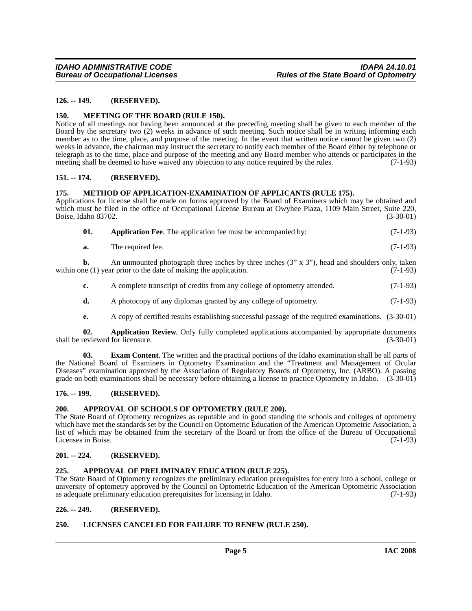#### <span id="page-4-0"></span>**126. -- 149. (RESERVED).**

#### <span id="page-4-16"></span><span id="page-4-1"></span>**150. MEETING OF THE BOARD (RULE 150).**

Notice of all meetings not having been announced at the preceding meeting shall be given to each member of the Board by the secretary two (2) weeks in advance of such meeting. Such notice shall be in writing informing each member as to the time, place, and purpose of the meeting. In the event that written notice cannot be given two (2) weeks in advance, the chairman may instruct the secretary to notify each member of the Board either by telephone or telegraph as to the time, place and purpose of the meeting and any Board member who attends or participates in the meeting shall be deemed to have waived any objection to any notice required by the rules. (7-1-93)

#### <span id="page-4-2"></span>**151. -- 174. (RESERVED).**

#### <span id="page-4-17"></span><span id="page-4-3"></span>**175. METHOD OF APPLICATION-EXAMINATION OF APPLICANTS (RULE 175).**

Applications for license shall be made on forms approved by the Board of Examiners which may be obtained and which must be filed in the office of Occupational License Bureau at Owyhee Plaza, 1109 Main Street, Suite 220,<br>Boise, Idaho 83702. (3-30-01) Boise, Idaho 83702.

<span id="page-4-10"></span>

| 01. |  |  | <b>Application Fee.</b> The application fee must be accompanied by: | $(7-1-93)$ |
|-----|--|--|---------------------------------------------------------------------|------------|
|-----|--|--|---------------------------------------------------------------------|------------|

**a.** The required fee. (7-1-93)

**b.** An unmounted photograph three inches by three inches (3" x 3"), head and shoulders only, taken within one (1) year prior to the date of making the application. (7-1-93)

- **c.** A complete transcript of credits from any college of optometry attended.  $(7-1-93)$
- **d.** A photocopy of any diplomas granted by any college of optometry. (7-1-93)
- <span id="page-4-14"></span><span id="page-4-11"></span>**e.** A copy of certified results establishing successful passage of the required examinations. (3-30-01)

**02. Application Review**. Only fully completed applications accompanied by appropriate documents shall be reviewed for licensure. (3-30-01)

**03. Exam Content**. The written and the practical portions of the Idaho examination shall be all parts of the National Board of Examiners in Optometry Examination and the "Treatment and Management of Ocular Diseases" examination approved by the Association of Regulatory Boards of Optometry, Inc. (ARBO). A passing grade on both examinations shall be necessary before obtaining a license to practice Optometry in Idaho. (3-30-01)

#### <span id="page-4-4"></span>**176. -- 199. (RESERVED).**

#### <span id="page-4-13"></span><span id="page-4-5"></span>**200. APPROVAL OF SCHOOLS OF OPTOMETRY (RULE 200).**

The State Board of Optometry recognizes as reputable and in good standing the schools and colleges of optometry which have met the standards set by the Council on Optometric Education of the American Optometric Association, a list of which may be obtained from the secretary of the Board or from the office of the Bureau of Occupational<br>Licenses in Boise. (7-1-93) Licenses in Boise.

#### <span id="page-4-6"></span>**201. -- 224. (RESERVED).**

#### <span id="page-4-12"></span><span id="page-4-7"></span>**225. APPROVAL OF PRELIMINARY EDUCATION (RULE 225).**

The State Board of Optometry recognizes the preliminary education prerequisites for entry into a school, college or university of optometry approved by the Council on Optometric Education of the American Optometric Association as adequate preliminary education prerequisites for licensing in Idaho. (7-1-93) as adequate preliminary education prerequisites for licensing in Idaho.

#### <span id="page-4-8"></span>**226. -- 249. (RESERVED).**

#### <span id="page-4-15"></span><span id="page-4-9"></span>**250. LICENSES CANCELED FOR FAILURE TO RENEW (RULE 250).**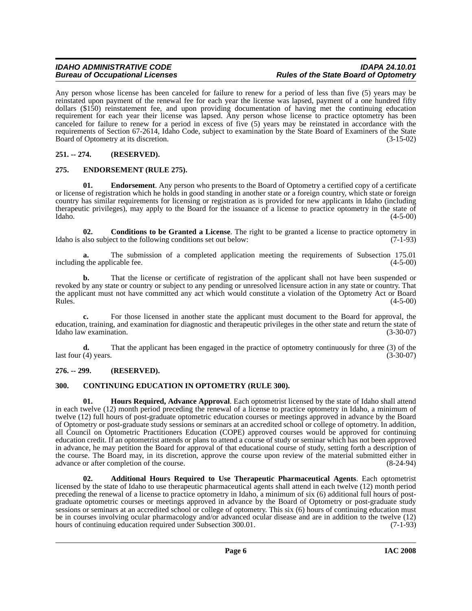Any person whose license has been canceled for failure to renew for a period of less than five (5) years may be reinstated upon payment of the renewal fee for each year the license was lapsed, payment of a one hundred fifty dollars (\$150) reinstatement fee, and upon providing documentation of having met the continuing education requirement for each year their license was lapsed. Any person whose license to practice optometry has been canceled for failure to renew for a period in excess of five (5) years may be reinstated in accordance with the requirements of Section 67-2614, Idaho Code, subject to examination by the State Board of Examiners of the State<br>Board of Optometry at its discretion. (3-15-02) Board of Optometry at its discretion.

#### <span id="page-5-0"></span>**251. -- 274. (RESERVED).**

#### <span id="page-5-7"></span><span id="page-5-1"></span>**275. ENDORSEMENT (RULE 275).**

**01.** Endorsement. Any person who presents to the Board of Optometry a certified copy of a certificate or license of registration which he holds in good standing in another state or a foreign country, which state or foreign country has similar requirements for licensing or registration as is provided for new applicants in Idaho (including therapeutic privileges), may apply to the Board for the issuance of a license to practice optometry in the state of Idaho.  $(4-5-00)$ Idaho. (4-5-00)

<span id="page-5-5"></span>**02. Conditions to be Granted a License**. The right to be granted a license to practice optometry in Idaho is also subject to the following conditions set out below:  $(7-1-93)$ 

**a.** The submission of a completed application meeting the requirements of Subsection 175.01 g the applicable fee. (4-5-00) including the applicable fee.

**b.** That the license or certificate of registration of the applicant shall not have been suspended or revoked by any state or country or subject to any pending or unresolved licensure action in any state or country. That the applicant must not have committed any act which would constitute a violation of the Optometry Act or Board<br>Rules. (4-5-00)  $Rules.$  (4-5-00)

**c.** For those licensed in another state the applicant must document to the Board for approval, the education, training, and examination for diagnostic and therapeutic privileges in the other state and return the state of Idaho law examination. (3-30-07)

**d.** That the applicant has been engaged in the practice of optometry continuously for three (3) of the (4) years. (3-30-07) last four  $(4)$  years.

#### <span id="page-5-2"></span>**276. -- 299. (RESERVED).**

#### <span id="page-5-6"></span><span id="page-5-3"></span>**300. CONTINUING EDUCATION IN OPTOMETRY (RULE 300).**

<span id="page-5-8"></span>**01. Hours Required, Advance Approval**. Each optometrist licensed by the state of Idaho shall attend in each twelve (12) month period preceding the renewal of a license to practice optometry in Idaho, a minimum of twelve (12) full hours of post-graduate optometric education courses or meetings approved in advance by the Board of Optometry or post-graduate study sessions or seminars at an accredited school or college of optometry. In addition, all Council on Optometric Practitioners Education (COPE) approved courses would be approved for continuing education credit. If an optometrist attends or plans to attend a course of study or seminar which has not been approved in advance, he may petition the Board for approval of that educational course of study, setting forth a description of the course. The Board may, in its discretion, approve the course upon review of the material submitted either in advance or after completion of the course. (8-24-94) advance or after completion of the course.

<span id="page-5-4"></span>**02. Additional Hours Required to Use Therapeutic Pharmaceutical Agents**. Each optometrist licensed by the state of Idaho to use therapeutic pharmaceutical agents shall attend in each twelve (12) month period preceding the renewal of a license to practice optometry in Idaho, a minimum of six (6) additional full hours of postgraduate optometric courses or meetings approved in advance by the Board of Optometry or post-graduate study sessions or seminars at an accredited school or college of optometry. This six (6) hours of continuing education must be in courses involving ocular pharmacology and/or advanced ocular disease and are in addition to the twelve (12) hours of continuing education required under Subsection 300.01. (7-1-93)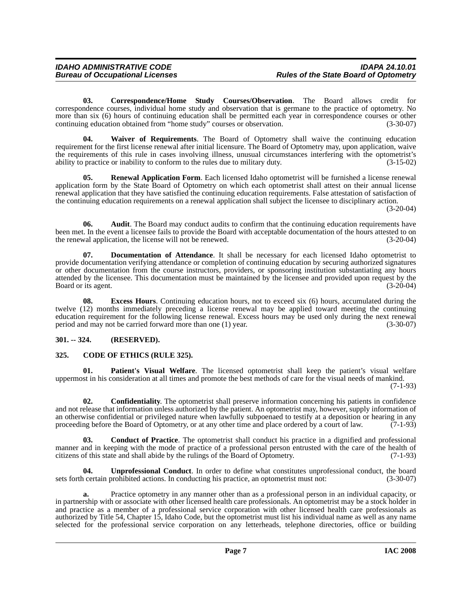<span id="page-6-5"></span>**03. Correspondence/Home Study Courses/Observation**. The Board allows credit for correspondence courses, individual home study and observation that is germane to the practice of optometry. No more than six (6) hours of continuing education shall be permitted each year in correspondence courses or other continuing education obtained from "home study" courses or observation. (3-30-07)

<span id="page-6-10"></span>**04. Waiver of Requirements**. The Board of Optometry shall waive the continuing education requirement for the first license renewal after initial licensure. The Board of Optometry may, upon application, waive the requirements of this rule in cases involving illness, unusual circumstances interfering with the optometrist's ability to practice or inability to conform to the rules due to military duty. (3-15-02)

<span id="page-6-8"></span>**05. Renewal Application Form**. Each licensed Idaho optometrist will be furnished a license renewal application form by the State Board of Optometry on which each optometrist shall attest on their annual license renewal application that they have satisfied the continuing education requirements. False attestation of satisfaction of the continuing education requirements on a renewal application shall subject the licensee to disciplinary action.

(3-20-04)

**06.** Audit. The Board may conduct audits to confirm that the continuing education requirements have been met. In the event a licensee fails to provide the Board with acceptable documentation of the hours attested to on the renewal application, the license will not be renewed. (3-20-04)

<span id="page-6-6"></span>**07. Documentation of Attendance**. It shall be necessary for each licensed Idaho optometrist to provide documentation verifying attendance or completion of continuing education by securing authorized signatures or other documentation from the course instructors, providers, or sponsoring institution substantiating any hours attended by the licensee. This documentation must be maintained by the licensee and provided upon request by the Board or its agent. (3-20-04) Board or its agent.

**08. Excess Hours**. Continuing education hours, not to exceed six (6) hours, accumulated during the twelve (12) months immediately preceding a license renewal may be applied toward meeting the continuing education requirement for the following license renewal. Excess hours may be used only during the next renewal period and may not be carried forward more than one (1) year. (3-30-07)

#### <span id="page-6-0"></span>**301. -- 324. (RESERVED).**

#### <span id="page-6-2"></span><span id="page-6-1"></span>**325. CODE OF ETHICS (RULE 325).**

<span id="page-6-7"></span>**Patient's Visual Welfare**. The licensed optometrist shall keep the patient's visual welfare uppermost in his consideration at all times and promote the best methods of care for the visual needs of mankind.

(7-1-93)

<span id="page-6-4"></span>**02. Confidentiality**. The optometrist shall preserve information concerning his patients in confidence and not release that information unless authorized by the patient. An optometrist may, however, supply information of an otherwise confidential or privileged nature when lawfully subpoenaed to testify at a deposition or hearing in any proceeding before the Board of Optometry, or at any other time and place ordered by a court of law. (7-1-93)

<span id="page-6-3"></span>**03. Conduct of Practice**. The optometrist shall conduct his practice in a dignified and professional manner and in keeping with the mode of practice of a professional person entrusted with the care of the health of citizens of this state and shall abide by the rulings of the Board of Optometry. (7-1-93)

<span id="page-6-9"></span>**04. Unprofessional Conduct**. In order to define what constitutes unprofessional conduct, the board sets forth certain prohibited actions. In conducting his practice, an optometrist must not: (3-30-07)

**a.** Practice optometry in any manner other than as a professional person in an individual capacity, or in partnership with or associate with other licensed health care professionals. An optometrist may be a stock holder in and practice as a member of a professional service corporation with other licensed health care professionals as authorized by Title 54, Chapter 15, Idaho Code, but the optometrist must list his individual name as well as any name selected for the professional service corporation on any letterheads, telephone directories, office or building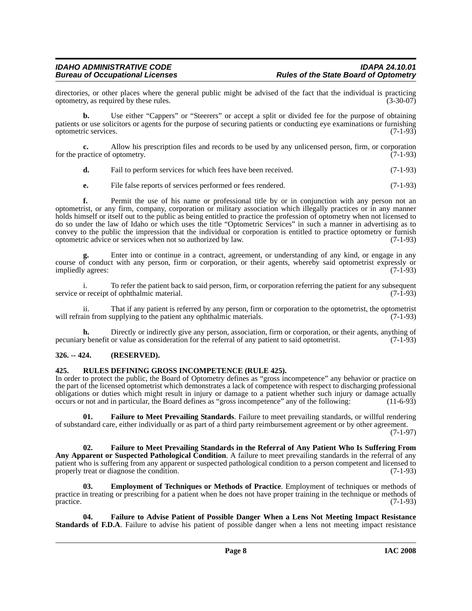## *IDAHO ADMINISTRATIVE CODE IDAPA 24.10.01*

directories, or other places where the general public might be advised of the fact that the individual is practicing optometry, as required by these rules. (3-30-07) optometry, as required by these rules.

**b.** Use either "Cappers" or "Steerers" or accept a split or divided fee for the purpose of obtaining patients or use solicitors or agents for the purpose of securing patients or conducting eye examinations or furnishing optometric services. (7-1-93)

**c.** Allow his prescription files and records to be used by any unlicensed person, firm, or corporation for the practice of optometry. (7-1-93)

**d.** Fail to perform services for which fees have been received. (7-1-93)

**e.** File false reports of services performed or fees rendered. (7-1-93)

**f.** Permit the use of his name or professional title by or in conjunction with any person not an optometrist, or any firm, company, corporation or military association which illegally practices or in any manner holds himself or itself out to the public as being entitled to practice the profession of optometry when not licensed to do so under the law of Idaho or which uses the title "Optometric Services" in such a manner in advertising as to convey to the public the impression that the individual or corporation is entitled to practice optometry or furnish optometric advice or services when not so authorized by law. (7-1-93)

**g.** Enter into or continue in a contract, agreement, or understanding of any kind, or engage in any course of conduct with any person, firm or corporation, or their agents, whereby said optometrist expressly or impliedly agrees: (7-1-93)

i. To refer the patient back to said person, firm, or corporation referring the patient for any subsequent service or receipt of ophthalmic material. (7-1-93)

ii. That if any patient is referred by any person, firm or corporation to the optometrist, the optometrist will refrain from supplying to the patient any ophthalmic materials. (7-1-93)

**h.** Directly or indirectly give any person, association, firm or corporation, or their agents, anything of pecuniary benefit or value as consideration for the referral of any patient to said optometrist. (7-1-93)

#### <span id="page-7-0"></span>**326. -- 424. (RESERVED).**

#### <span id="page-7-6"></span><span id="page-7-1"></span>**425. RULES DEFINING GROSS INCOMPETENCE (RULE 425).**

In order to protect the public, the Board of Optometry defines as "gross incompetence" any behavior or practice on the part of the licensed optometrist which demonstrates a lack of competence with respect to discharging professional obligations or duties which might result in injury or damage to a patient whether such injury or damage actually occurs or not and in particular, the Board defines as "gross incompetence" any of the following: (11-6-93)

<span id="page-7-5"></span>**01. Failure to Meet Prevailing Standards**. Failure to meet prevailing standards, or willful rendering of substandard care, either individually or as part of a third party reimbursement agreement or by other agreement. (7-1-97)

<span id="page-7-4"></span>**02. Failure to Meet Prevailing Standards in the Referral of Any Patient Who Is Suffering From Any Apparent or Suspected Pathological Condition**. A failure to meet prevailing standards in the referral of any patient who is suffering from any apparent or suspected pathological condition to a person competent and licensed to properly treat or diagnose the condition. properly treat or diagnose the condition.

<span id="page-7-2"></span>**03. Employment of Techniques or Methods of Practice**. Employment of techniques or methods of practice in treating or prescribing for a patient when he does not have proper training in the technique or methods of practice. (7-1-93)

<span id="page-7-3"></span>**04. Failure to Advise Patient of Possible Danger When a Lens Not Meeting Impact Resistance Standards of F.D.A**. Failure to advise his patient of possible danger when a lens not meeting impact resistance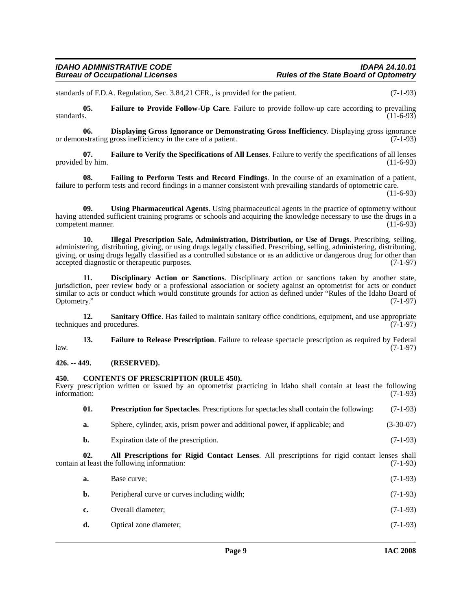standards of F.D.A. Regulation, Sec. 3.84,21 CFR., is provided for the patient. (7-1-93)

<span id="page-8-7"></span>**05.** Failure to Provide Follow-Up Care. Failure to provide follow-up care according to prevailing standards. (11-6-93) standards.  $(11-6-93)$ 

<span id="page-8-5"></span>**06. Displaying Gross Ignorance or Demonstrating Gross Inefficiency**. Displaying gross ignorance **or Strating and Strating and Strating and Strating and Strating and Strating and Strating and Strating and Strating and St** or demonstrating gross inefficiency in the care of a patient.

<span id="page-8-9"></span>**07. Failure to Verify the Specifications of All Lenses**. Failure to verify the specifications of all lenses provided by him. (11-6-93)

<span id="page-8-6"></span>**08. Failing to Perform Tests and Record Findings**. In the course of an examination of a patient, failure to perform tests and record findings in a manner consistent with prevailing standards of optometric care.

(11-6-93)

<span id="page-8-13"></span>**09. Using Pharmaceutical Agents**. Using pharmaceutical agents in the practice of optometry without having attended sufficient training programs or schools and acquiring the knowledge necessary to use the drugs in a competent manner. (11-6-93)

<span id="page-8-10"></span>**10. Illegal Prescription Sale, Administration, Distribution, or Use of Drugs**. Prescribing, selling, administering, distributing, giving, or using drugs legally classified. Prescribing, selling, administering, distributing, giving, or using drugs legally classified as a controlled substance or as an addictive or dangerous drug for other than accepted diagnostic or therapeutic purposes. (7-1-97) accepted diagnostic or therapeutic purposes.

<span id="page-8-4"></span>**11. Disciplinary Action or Sanctions**. Disciplinary action or sanctions taken by another state, jurisdiction, peer review body or a professional association or society against an optometrist for acts or conduct similar to acts or conduct which would constitute grounds for action as defined under "Rules of the Idaho Board of Optometry." (7-1-97) Optometry." (7-1-97)

<span id="page-8-12"></span>**12.** Sanitary Office. Has failed to maintain sanitary office conditions, equipment, and use appropriate techniques and procedures. (7-1-97)

<span id="page-8-8"></span>**13. Failure to Release Prescription**. Failure to release spectacle prescription as required by Federal  $l$ aw.  $(7-1-97)$ 

#### <span id="page-8-0"></span>**426. -- 449. (RESERVED).**

#### <span id="page-8-3"></span><span id="page-8-1"></span>**450. CONTENTS OF PRESCRIPTION (RULE 450).**

Every prescription written or issued by an optometrist practicing in Idaho shall contain at least the following information: (7-1-93) information: (7-1-93)

<span id="page-8-11"></span>

| 01. | <b>Prescription for Spectacles.</b> Prescriptions for spectacles shall contain the following: | $(7-1-93)$  |
|-----|-----------------------------------------------------------------------------------------------|-------------|
| а.  | Sphere, cylinder, axis, prism power and additional power, if applicable; and                  | $(3-30-07)$ |

<span id="page-8-2"></span>**b.** Expiration date of the prescription. (7-1-93)

**02. All Prescriptions for Rigid Contact Lenses**. All prescriptions for rigid contact lenses shall contain at least the following information:

| а.          | Base curve:                                 | $(7-1-93)$ |
|-------------|---------------------------------------------|------------|
| b.          | Peripheral curve or curves including width; | $(7-1-93)$ |
| $c_{\cdot}$ | Overall diameter;                           | $(7-1-93)$ |
| d.          | Optical zone diameter;                      | $(7-1-93)$ |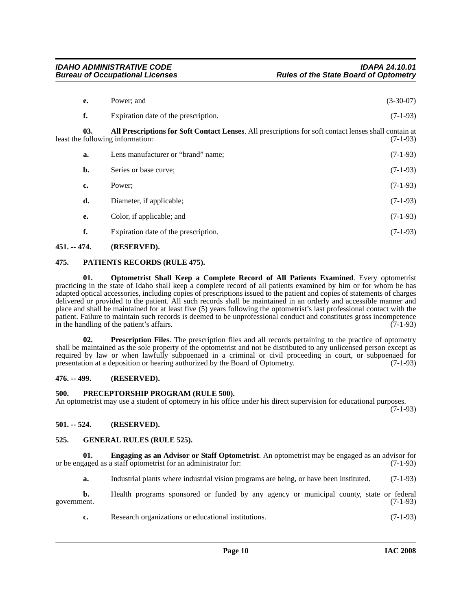<span id="page-9-6"></span>

| e.  | Power; and                                                                                                                                | $(3-30-07)$ |
|-----|-------------------------------------------------------------------------------------------------------------------------------------------|-------------|
| f.  | Expiration date of the prescription.                                                                                                      | $(7-1-93)$  |
| 03. | All Prescriptions for Soft Contact Lenses. All prescriptions for soft contact lenses shall contain at<br>least the following information: | $(7-1-93)$  |
| a.  | Lens manufacturer or "brand" name;                                                                                                        | $(7-1-93)$  |
| b.  | Series or base curve;                                                                                                                     | $(7-1-93)$  |
| c.  | Power:                                                                                                                                    | $(7-1-93)$  |
| d.  | Diameter, if applicable;                                                                                                                  | $(7-1-93)$  |
| e.  | Color, if applicable; and                                                                                                                 | $(7-1-93)$  |
| f.  | Expiration date of the prescription.                                                                                                      | $(7-1-93)$  |

#### <span id="page-9-0"></span>**451. -- 474. (RESERVED).**

#### <span id="page-9-10"></span><span id="page-9-1"></span>**475. PATIENTS RECORDS (RULE 475).**

<span id="page-9-9"></span>**01. Optometrist Shall Keep a Complete Record of All Patients Examined**. Every optometrist practicing in the state of Idaho shall keep a complete record of all patients examined by him or for whom he has adapted optical accessories, including copies of prescriptions issued to the patient and copies of statements of charges delivered or provided to the patient. All such records shall be maintained in an orderly and accessible manner and place and shall be maintained for at least five (5) years following the optometrist's last professional contact with the patient. Failure to maintain such records is deemed to be unprofessional conduct and constitutes gross incompetence<br>in the handling of the patient's affairs. (7-1-93) in the handling of the patient's affairs.

<span id="page-9-12"></span>**02. Prescription Files**. The prescription files and all records pertaining to the practice of optometry shall be maintained as the sole property of the optometrist and not be distributed to any unlicensed person except as required by law or when lawfully subpoenaed in a criminal or civil proceeding in court, or subpoenaed for presentation at a deposition or hearing authorized by the Board of Optometry. (7-1-93)

#### <span id="page-9-2"></span>**476. -- 499. (RESERVED).**

#### <span id="page-9-11"></span><span id="page-9-3"></span>**500. PRECEPTORSHIP PROGRAM (RULE 500).**

An optometrist may use a student of optometry in his office under his direct supervision for educational purposes. (7-1-93)

### <span id="page-9-4"></span>**501. -- 524. (RESERVED).**

### <span id="page-9-8"></span><span id="page-9-5"></span>**525. GENERAL RULES (RULE 525).**

**01. Engaging as an Advisor or Staff Optometrist**. An optometrist may be engaged as an advisor for or be engaged as a staff optometrist for an administrator for: (7-1-93)

<span id="page-9-7"></span>**a.** Industrial plants where industrial vision programs are being, or have been instituted. (7-1-93)

**b.** Health programs sponsored or funded by any agency or municipal county, state or federal government. (7-1-93)

**c.** Research organizations or educational institutions. (7-1-93)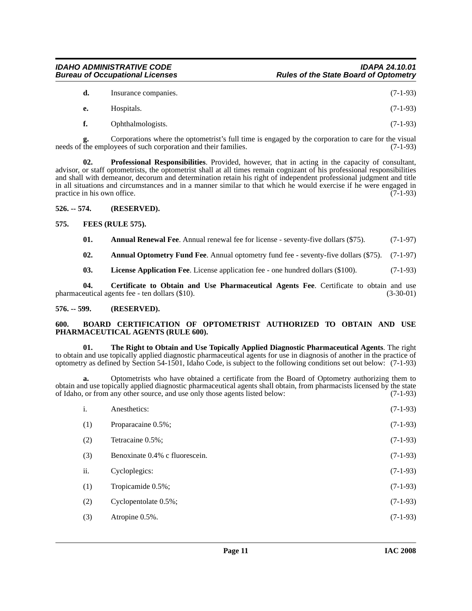| <b>IDAHO ADMINISTRATIVE CODE</b>       | <b>IDAPA 24.10.01</b>                        |
|----------------------------------------|----------------------------------------------|
| <b>Bureau of Occupational Licenses</b> | <b>Rules of the State Board of Optometry</b> |

| d. | Insurance companies. | $(7-1-93)$ |
|----|----------------------|------------|
| е. | Hospitals.           | $(7-1-93)$ |
| f. | Ophthalmologists.    | $(7-1-93)$ |

**g.** Corporations where the optometrist's full time is engaged by the corporation to care for the visual needs of the employees of such corporation and their families.

<span id="page-10-10"></span>**02. Professional Responsibilities**. Provided, however, that in acting in the capacity of consultant, advisor, or staff optometrists, the optometrist shall at all times remain cognizant of his professional responsibilities and shall with demeanor, decorum and determination retain his right of independent professional judgment and title in all situations and circumstances and in a manner similar to that which he would exercise if he were engaged in practice in his own office. (7-1-93)

#### <span id="page-10-0"></span>**526. -- 574. (RESERVED).**

#### <span id="page-10-1"></span>**575. FEES (RULE 575).**

<span id="page-10-8"></span><span id="page-10-5"></span>**01.** Annual Renewal Fee. Annual renewal fee for license - seventy-five dollars (\$75). (7-1-97)

<span id="page-10-4"></span>**02. Annual Optometry Fund Fee**. Annual optometry fund fee - seventy-five dollars (\$75). (7-1-97)

<span id="page-10-9"></span><span id="page-10-7"></span>**03.** License Application Fee. License application fee - one hundred dollars (\$100). (7-1-93)

**04. Certificate to Obtain and Use Pharmaceutical Agents Fee**. Certificate to obtain and use pharmaceutical agents fee - ten dollars (\$10). (3-30-01)

#### <span id="page-10-2"></span>**576. -- 599. (RESERVED).**

#### <span id="page-10-6"></span><span id="page-10-3"></span>**600. BOARD CERTIFICATION OF OPTOMETRIST AUTHORIZED TO OBTAIN AND USE PHARMACEUTICAL AGENTS (RULE 600).**

<span id="page-10-11"></span>**01. The Right to Obtain and Use Topically Applied Diagnostic Pharmaceutical Agents**. The right to obtain and use topically applied diagnostic pharmaceutical agents for use in diagnosis of another in the practice of optometry as defined by Section 54-1501, Idaho Code, is subject to the following conditions set out below: (7-1-93)

**a.** Optometrists who have obtained a certificate from the Board of Optometry authorizing them to obtain and use topically applied diagnostic pharmaceutical agents shall obtain, from pharmacists licensed by the state of Idaho, or from any other source, and use only those agents listed below: (7-1-93) of Idaho, or from any other source, and use only those agents listed below:

| i.  | Anesthetics:                   | $(7-1-93)$ |
|-----|--------------------------------|------------|
| (1) | Proparacaine 0.5%;             | $(7-1-93)$ |
| (2) | Tetracaine 0.5%;               | $(7-1-93)$ |
| (3) | Benoxinate 0.4% c fluorescein. | $(7-1-93)$ |
| ii. | Cycloplegics:                  | $(7-1-93)$ |
| (1) | Tropicamide 0.5%;              | $(7-1-93)$ |
| (2) | Cyclopentolate 0.5%;           | $(7-1-93)$ |
| (3) | Atropine 0.5%.                 | $(7-1-93)$ |
|     |                                |            |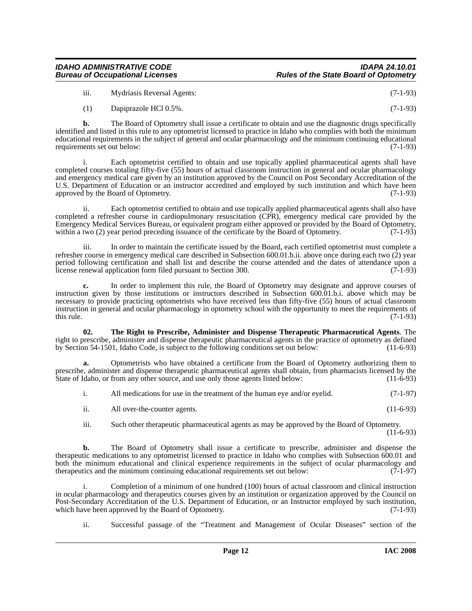#### *IDAHO ADMINISTRATIVE CODE IDAPA 24.10.01* **Rules of the State Board of Optometry**

iii. Mydriasis Reversal Agents: (7-1-93)

(1) Dapiprazole HCl 0.5%. (7-1-93)

**b.** The Board of Optometry shall issue a certificate to obtain and use the diagnostic drugs specifically identified and listed in this rule to any optometrist licensed to practice in Idaho who complies with both the minimum educational requirements in the subject of general and ocular pharmacology and the minimum continuing educational requirements set out below: (7-1-93)

Each optometrist certified to obtain and use topically applied pharmaceutical agents shall have completed courses totaling fifty-five (55) hours of actual classroom instruction in general and ocular pharmacology and emergency medical care given by an institution approved by the Council on Post Secondary Accreditation of the U.S. Department of Education or an instructor accredited and employed by such institution and which have been approved by the Board of Optometry. (7-1-93)

ii. Each optometrist certified to obtain and use topically applied pharmaceutical agents shall also have completed a refresher course in cardiopulmonary resuscitation (CPR), emergency medical care provided by the Emergency Medical Services Bureau, or equivalent program either approved or provided by the Board of Optometry, within a two (2) year period preceding issuance of the certificate by the Board of Optometry. (7-1-93)

iii. In order to maintain the certificate issued by the Board, each certified optometrist must complete a refresher course in emergency medical care described in Subsection 600.01.b.ii. above once during each two (2) year period following certification and shall list and describe the course attended and the dates of attendance upon a license renewal application form filed pursuant to Section 300. (7-1-93)

**c.** In order to implement this rule, the Board of Optometry may designate and approve courses of instruction given by those institutions or instructors described in Subsection 600.01.b.i. above which may be necessary to provide practicing optometrists who have received less than fifty-five (55) hours of actual classroom instruction in general and ocular pharmacology in optometry school with the opportunity to meet the requirements of this rule.  $(7-1-93)$ 

<span id="page-11-0"></span>**02. The Right to Prescribe, Administer and Dispense Therapeutic Pharmaceutical Agents**. The right to prescribe, administer and dispense therapeutic pharmaceutical agents in the practice of optometry as defined by Section 54-1501, Idaho Code, is subject to the following conditions set out below: (11-6-93)

**a.** Optometrists who have obtained a certificate from the Board of Optometry authorizing them to prescribe, administer and dispense therapeutic pharmaceutical agents shall obtain, from pharmacists licensed by the State of Idaho, or from any other source, and use only those agents listed below: (11-6-93)

|  | All medications for use in the treatment of the human eye and/or eyelid. | $(7-1-97)$ |
|--|--------------------------------------------------------------------------|------------|
|--|--------------------------------------------------------------------------|------------|

ii. All over-the-counter agents. (11-6-93)

iii. Such other therapeutic pharmaceutical agents as may be approved by the Board of Optometry.  $(11-6-93)$ 

**b.** The Board of Optometry shall issue a certificate to prescribe, administer and dispense the therapeutic medications to any optometrist licensed to practice in Idaho who complies with Subsection 600.01 and both the minimum educational and clinical experience requirements in the subject of ocular pharmacology and therapeutics and the minimum continuing educational requirements set out below: (7-1-97) therapeutics and the minimum continuing educational requirements set out below:

Completion of a minimum of one hundred (100) hours of actual classroom and clinical instruction in ocular pharmacology and therapeutics courses given by an institution or organization approved by the Council on Post-Secondary Accreditation of the U.S. Department of Education, or an Instructor employed by such institution, which have been approved by the Board of Optometry. (7-1-93) which have been approved by the Board of Optometry.

ii. Successful passage of the "Treatment and Management of Ocular Diseases" section of the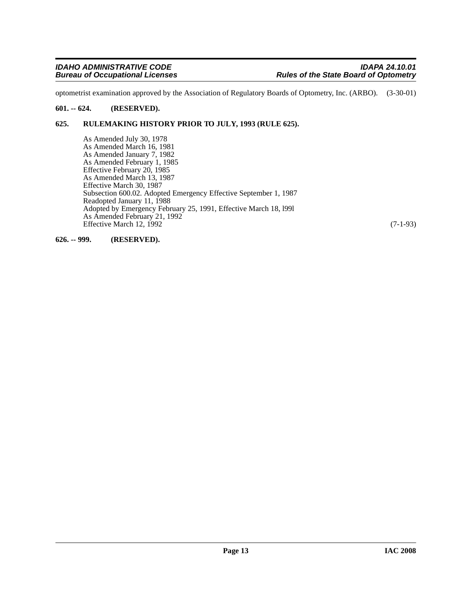optometrist examination approved by the Association of Regulatory Boards of Optometry, Inc. (ARBO). (3-30-01)

#### <span id="page-12-0"></span>**601. -- 624. (RESERVED).**

#### <span id="page-12-1"></span>**625. RULEMAKING HISTORY PRIOR TO JULY, 1993 (RULE 625).**

As Amended July 30, 1978 As Amended March 16, 1981 As Amended January 7, 1982 As Amended February 1, 1985 Effective February 20, 1985 As Amended March 13, 1987 Effective March 30, 1987 Subsection 600.02. Adopted Emergency Effective September 1, 1987 Readopted January 11, 1988 Adopted by Emergency February 25, 1991, Effective March 18, l99l As Amended February 21, 1992 Effective March 12, 1992 (7-1-93)

<span id="page-12-2"></span>**626. -- 999. (RESERVED).**